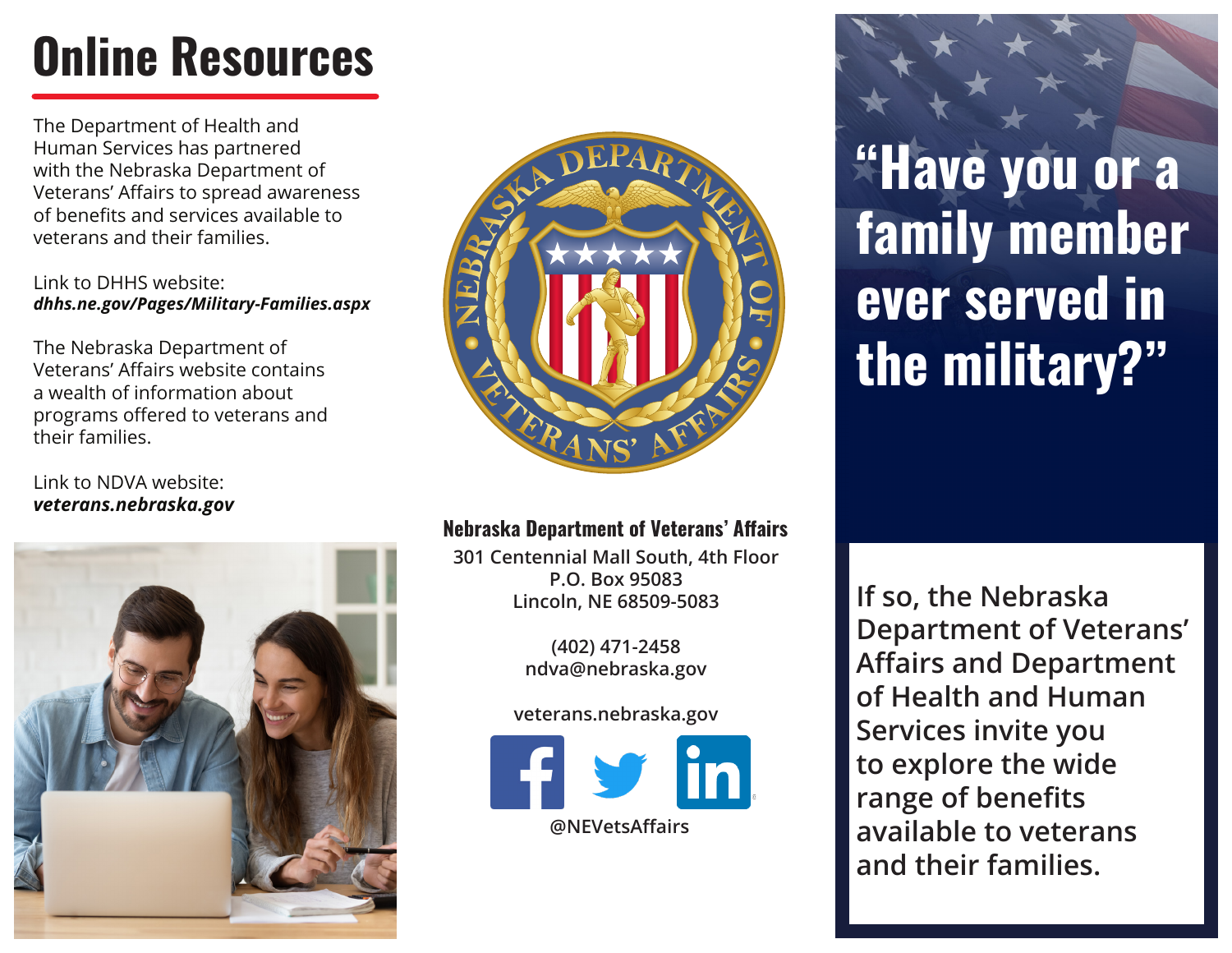# **Online Resources**

The Department of Health and Human Services has partnered with the Nebraska Department of Veterans' Affairs to spread awareness of benefits and services available to veterans and their families.

#### Link to DHHS website: *dhhs.ne.gov/Pages/Military-Families.aspx*

The Nebraska Department of Veterans' Affairs website contains a wealth of information about programs offered to veterans and their families.

### Link to NDVA website: *veterans.nebraska.gov*





### **Nebraska Department of Veterans' Affairs**

**301 Centennial Mall South, 4th Floor P.O. Box 95083 Lincoln, NE 68509-5083**

> **(402) 471-2458 ndva@nebraska.gov**

**veterans.nebraska.gov**



**"Have you or a family member ever served in the military?"**

**If so, the Nebraska Department of Veterans' Affairs and Department of Health and Human Services invite you to explore the wide range of benefits available to veterans and their families.**